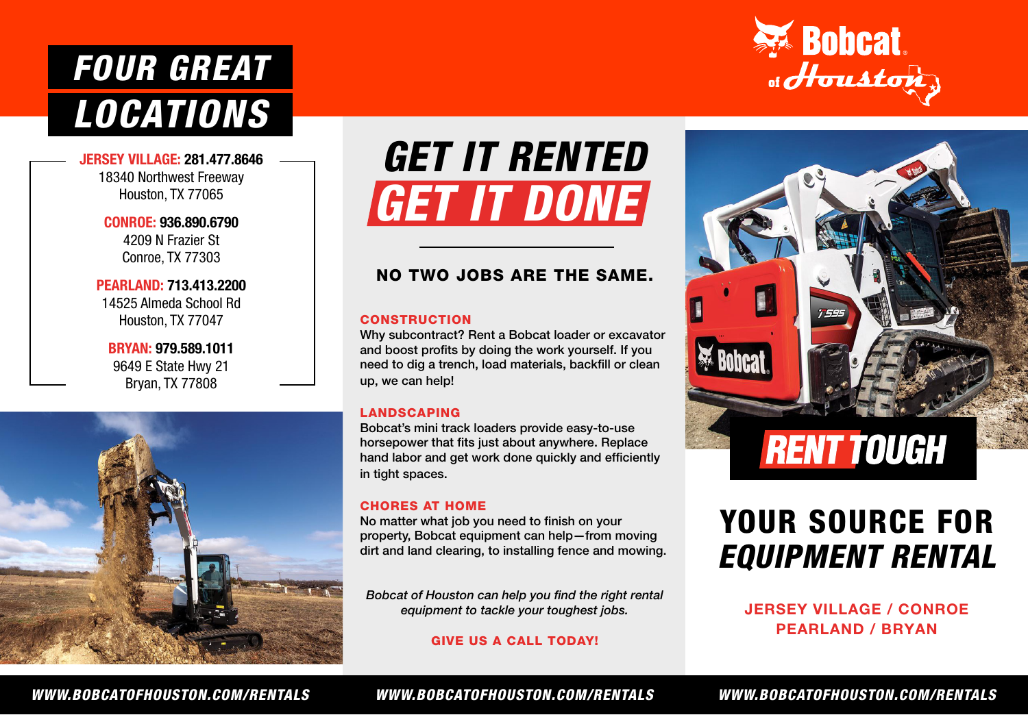# *LOCATIONS FOUR GREAT*

JERSEY VILLAGE: 281.477.8646 18340 Northwest Freeway Houston, TX 77065

> CONROE: 936.890.6790 4209 N Frazier St Conroe, TX 77303

PEARLAND: 713.413.2200 14525 Almeda School Rd Houston, TX 77047

BRYAN: 979.589.1011 9649 E State Hwy 21 Bryan, TX 77808



# *GET IT RENTED GET IT DONE*

### NO TWO JOBS ARE THE SAME.

#### **CONSTRUCTION**

Why subcontract? Rent a Bobcat loader or excavator and boost profits by doing the work yourself. If you need to dig a trench, load materials, backfill or clean up, we can help!

#### LANDSCAPING

Bobcat's mini track loaders provide easy-to-use horsepower that fits just about anywhere. Replace hand labor and get work done quickly and efficiently in tight spaces.

#### CHORES AT HOME

No matter what job you need to finish on your property, Bobcat equipment can help—from moving dirt and land clearing, to installing fence and mowing.

*Bobcat of Houston can help you find the right rental equipment to tackle your toughest jobs.* 

GIVE US A CALL TODAY!





## YOUR SOURCE FOR *EQUIPMENT RENTAL*

### JERSEY VILLAGE / CONROE PEARLAND / BRYAN

*WWW.BOBCATOFHOUSTON.COM/RENTALS WWW.BOBCATOFHOUSTON.COM/RENTALS WWW.BOBCATOFHOUSTON.COM/RENTALS*